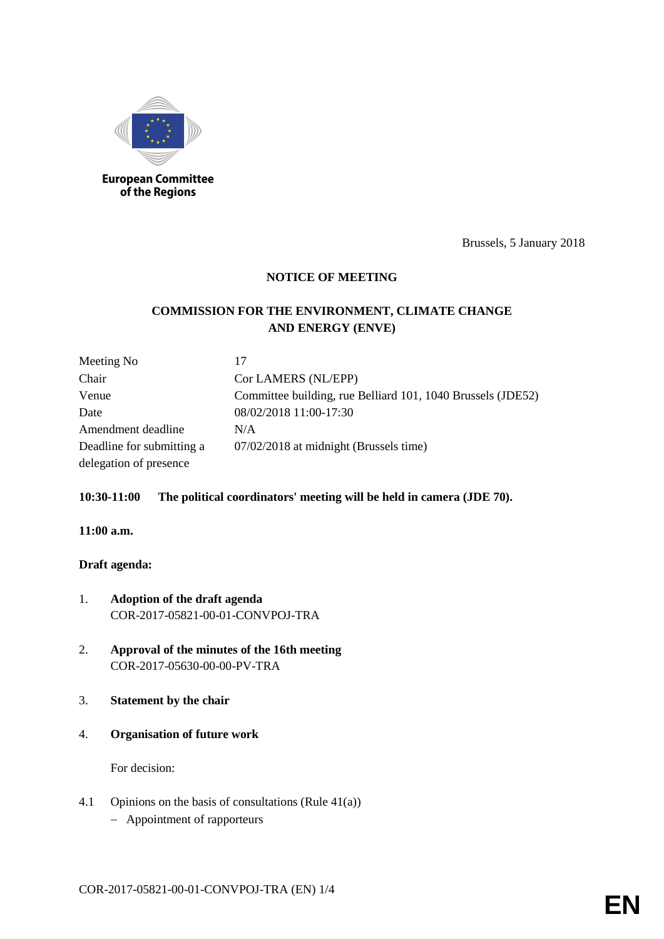

of the Regions

Brussels, 5 January 2018

# **NOTICE OF MEETING**

# **COMMISSION FOR THE ENVIRONMENT, CLIMATE CHANGE AND ENERGY (ENVE)**

| Meeting No                | 17                                                          |
|---------------------------|-------------------------------------------------------------|
| Chair                     | Cor LAMERS (NL/EPP)                                         |
| Venue                     | Committee building, rue Belliard 101, 1040 Brussels (JDE52) |
| Date                      | 08/02/2018 11:00-17:30                                      |
| Amendment deadline        | N/A                                                         |
| Deadline for submitting a | 07/02/2018 at midnight (Brussels time)                      |
| delegation of presence    |                                                             |

### **10:30-11:00 The political coordinators' meeting will be held in camera (JDE 70).**

#### **11:00 a.m.**

### **Draft agenda:**

- 1. **Adoption of the draft agenda** COR-2017-05821-00-01-CONVPOJ-TRA
- 2. **Approval of the minutes of the 16th meeting** COR-2017-05630-00-00-PV-TRA
- 3. **Statement by the chair**
- 4. **Organisation of future work**

For decision:

- 4.1 Opinions on the basis of consultations (Rule 41(a))
	- Appointment of rapporteurs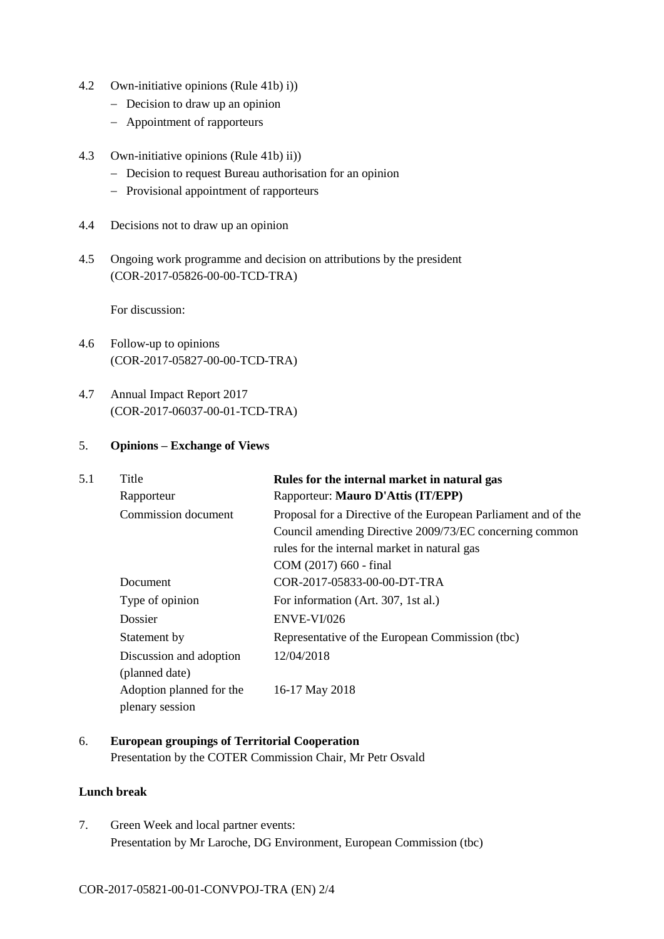- 4.2 Own-initiative opinions (Rule 41b) i))
	- Decision to draw up an opinion
	- Appointment of rapporteurs
- 4.3 Own-initiative opinions (Rule 41b) ii))
	- Decision to request Bureau authorisation for an opinion
	- Provisional appointment of rapporteurs
- 4.4 Decisions not to draw up an opinion
- 4.5 Ongoing work programme and decision on attributions by the president (COR-2017-05826-00-00-TCD-TRA)

For discussion:

- 4.6 Follow-up to opinions (COR-2017-05827-00-00-TCD-TRA)
- 4.7 Annual Impact Report 2017 (COR-2017-06037-00-01-TCD-TRA)

#### 5. **Opinions – Exchange of Views**

| 5.1 | Title                    | Rules for the internal market in natural gas                   |
|-----|--------------------------|----------------------------------------------------------------|
|     | Rapporteur               | Rapporteur: Mauro D'Attis (IT/EPP)                             |
|     | Commission document      | Proposal for a Directive of the European Parliament and of the |
|     |                          | Council amending Directive 2009/73/EC concerning common        |
|     |                          | rules for the internal market in natural gas                   |
|     |                          | COM (2017) 660 - final                                         |
|     | Document                 | COR-2017-05833-00-00-DT-TRA                                    |
|     | Type of opinion          | For information (Art. 307, 1st al.)                            |
|     | Dossier                  | ENVE-VI/026                                                    |
|     | Statement by             | Representative of the European Commission (tbc)                |
|     | Discussion and adoption  | 12/04/2018                                                     |
|     | (planned date)           |                                                                |
|     | Adoption planned for the | 16-17 May 2018                                                 |
|     | plenary session          |                                                                |

6. **European groupings of Territorial Cooperation** Presentation by the COTER Commission Chair, Mr Petr Osvald

#### **Lunch break**

7. Green Week and local partner events: Presentation by Mr Laroche, DG Environment, European Commission (tbc)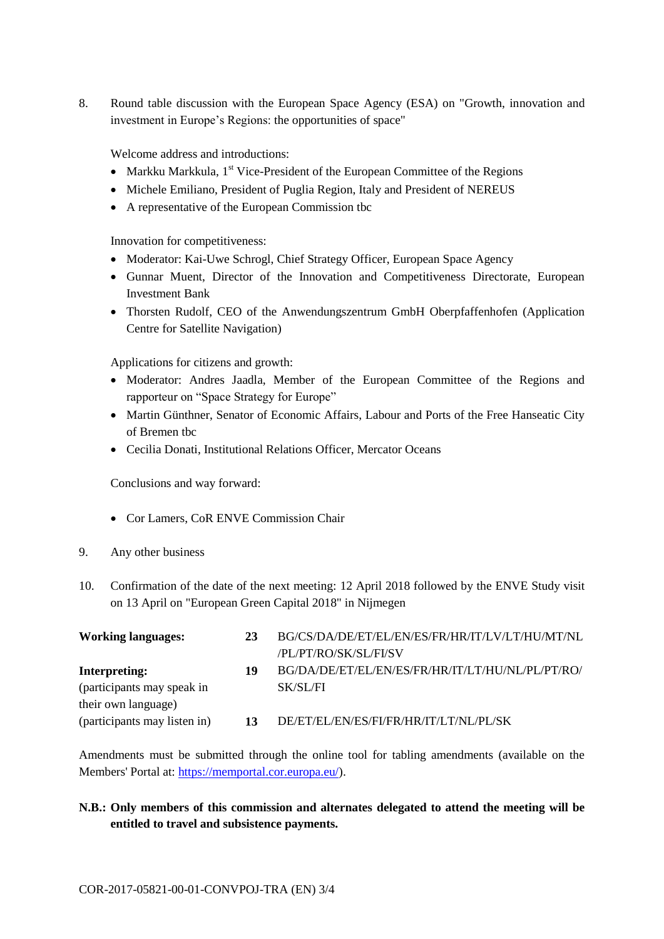8. Round table discussion with the European Space Agency (ESA) on "Growth, innovation and investment in Europe's Regions: the opportunities of space"

Welcome address and introductions:

- Markku Markkula,  $1<sup>st</sup>$  Vice-President of the European Committee of the Regions
- Michele Emiliano, President of Puglia Region, Italy and President of NEREUS
- A representative of the European Commission tbc

Innovation for competitiveness:

- Moderator: Kai-Uwe Schrogl, Chief Strategy Officer, European Space Agency
- Gunnar Muent, Director of the Innovation and Competitiveness Directorate, European Investment Bank
- Thorsten Rudolf, CEO of the Anwendungszentrum GmbH Oberpfaffenhofen (Application Centre for Satellite Navigation)

Applications for citizens and growth:

- Moderator: Andres Jaadla, Member of the European Committee of the Regions and rapporteur on "Space Strategy for Europe"
- Martin Günthner, Senator of Economic Affairs, Labour and Ports of the Free Hanseatic City of Bremen tbc
- Cecilia Donati, Institutional Relations Officer, Mercator Oceans

Conclusions and way forward:

- Cor Lamers, CoR ENVE Commission Chair
- 9. Any other business
- 10. Confirmation of the date of the next meeting: 12 April 2018 followed by the ENVE Study visit on 13 April on "European Green Capital 2018" in Nijmegen

| <b>Working languages:</b>    | 23 | BG/CS/DA/DE/ET/EL/EN/ES/FR/HR/IT/LV/LT/HU/MT/NL  |
|------------------------------|----|--------------------------------------------------|
|                              |    | /PL/PT/RO/SK/SL/FI/SV                            |
| Interpreting:                | 19 | BG/DA/DE/ET/EL/EN/ES/FR/HR/IT/LT/HU/NL/PL/PT/RO/ |
| (participants may speak in   |    | SK/SL/FI                                         |
| their own language)          |    |                                                  |
| (participants may listen in) | 13 | DE/ET/EL/EN/ES/FI/FR/HR/IT/LT/NL/PL/SK           |

Amendments must be submitted through the online tool for tabling amendments (available on the Members' Portal at: [https://memportal.cor.europa.eu/\)](https://memportal.cor.europa.eu/).

# **N.B.: Only members of this commission and alternates delegated to attend the meeting will be entitled to travel and subsistence payments.**